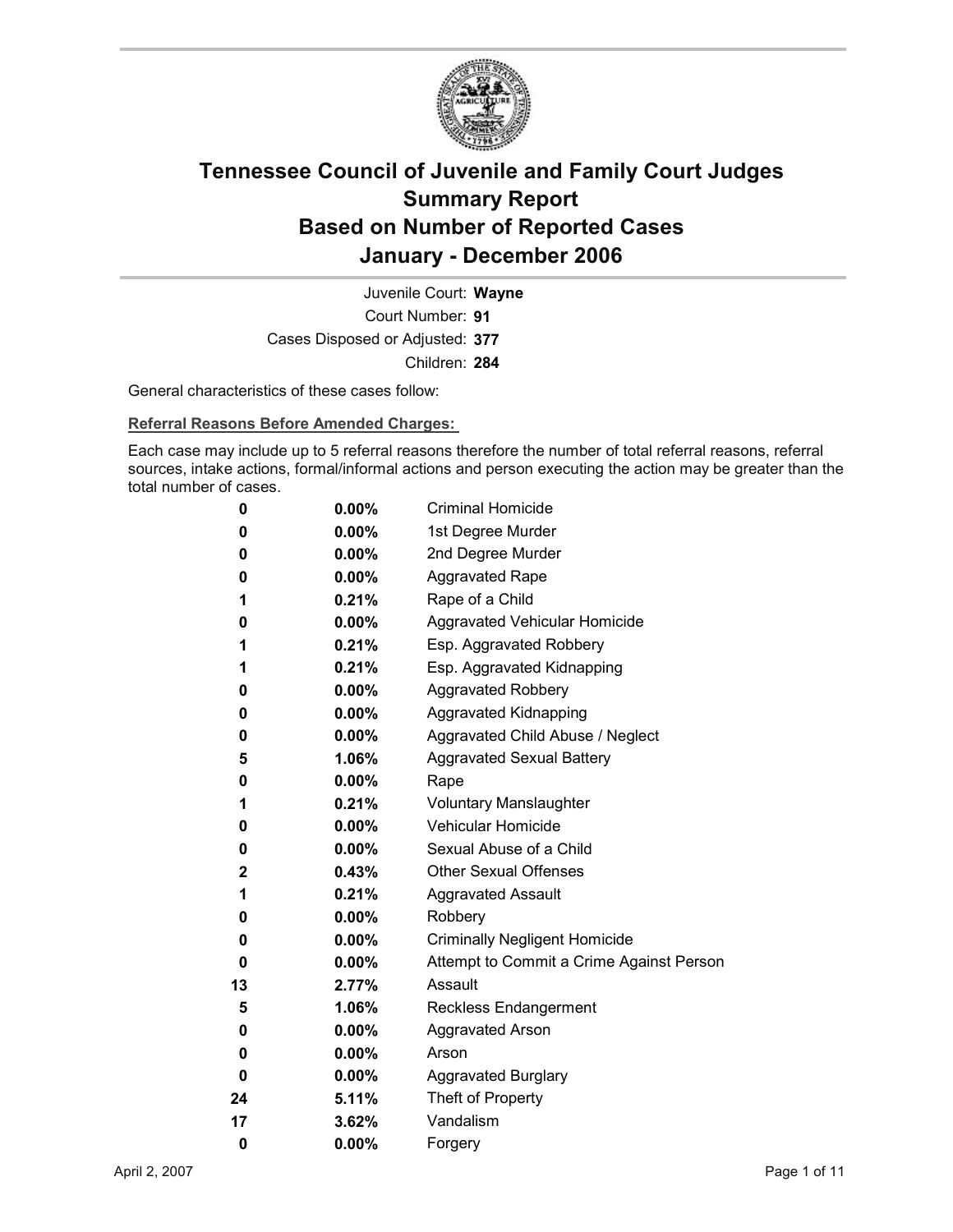

Court Number: **91** Juvenile Court: **Wayne** Cases Disposed or Adjusted: **377** Children: **284**

General characteristics of these cases follow:

**Referral Reasons Before Amended Charges:** 

Each case may include up to 5 referral reasons therefore the number of total referral reasons, referral sources, intake actions, formal/informal actions and person executing the action may be greater than the total number of cases.

| 0  | $0.00\%$ | <b>Criminal Homicide</b>                 |
|----|----------|------------------------------------------|
| 0  | $0.00\%$ | 1st Degree Murder                        |
| 0  | $0.00\%$ | 2nd Degree Murder                        |
| 0  | $0.00\%$ | <b>Aggravated Rape</b>                   |
| 1  | 0.21%    | Rape of a Child                          |
| 0  | $0.00\%$ | Aggravated Vehicular Homicide            |
| 1  | 0.21%    | Esp. Aggravated Robbery                  |
| 1  | 0.21%    | Esp. Aggravated Kidnapping               |
| 0  | $0.00\%$ | <b>Aggravated Robbery</b>                |
| 0  | $0.00\%$ | <b>Aggravated Kidnapping</b>             |
| 0  | $0.00\%$ | Aggravated Child Abuse / Neglect         |
| 5  | 1.06%    | <b>Aggravated Sexual Battery</b>         |
| 0  | $0.00\%$ | Rape                                     |
| 1  | 0.21%    | <b>Voluntary Manslaughter</b>            |
| 0  | $0.00\%$ | <b>Vehicular Homicide</b>                |
| 0  | $0.00\%$ | Sexual Abuse of a Child                  |
| 2  | $0.43\%$ | <b>Other Sexual Offenses</b>             |
| 1  | 0.21%    | <b>Aggravated Assault</b>                |
| 0  | $0.00\%$ | Robbery                                  |
| 0  | $0.00\%$ | <b>Criminally Negligent Homicide</b>     |
| 0  | $0.00\%$ | Attempt to Commit a Crime Against Person |
| 13 | 2.77%    | Assault                                  |
| 5  | 1.06%    | <b>Reckless Endangerment</b>             |
| 0  | $0.00\%$ | <b>Aggravated Arson</b>                  |
| 0  | $0.00\%$ | Arson                                    |
| 0  | $0.00\%$ | <b>Aggravated Burglary</b>               |
| 24 | 5.11%    | Theft of Property                        |
| 17 | 3.62%    | Vandalism                                |
| 0  | 0.00%    | Forgery                                  |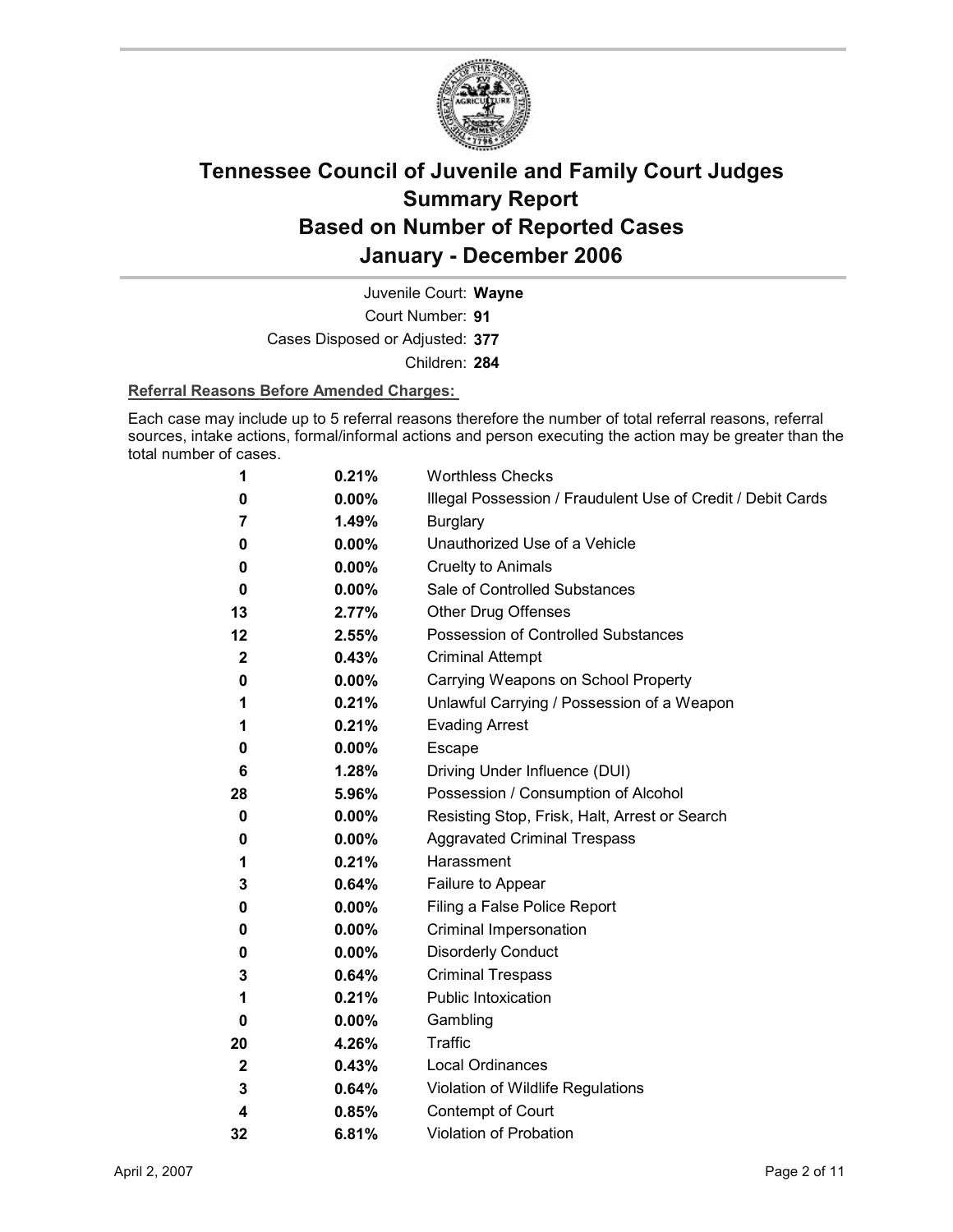

Court Number: **91** Juvenile Court: **Wayne** Cases Disposed or Adjusted: **377** Children: **284**

#### **Referral Reasons Before Amended Charges:**

Each case may include up to 5 referral reasons therefore the number of total referral reasons, referral sources, intake actions, formal/informal actions and person executing the action may be greater than the total number of cases.

| 1           | 0.21%    | <b>Worthless Checks</b>                                     |
|-------------|----------|-------------------------------------------------------------|
| 0           | 0.00%    | Illegal Possession / Fraudulent Use of Credit / Debit Cards |
| 7           | 1.49%    | <b>Burglary</b>                                             |
| 0           | 0.00%    | Unauthorized Use of a Vehicle                               |
| 0           | 0.00%    | <b>Cruelty to Animals</b>                                   |
| 0           | 0.00%    | Sale of Controlled Substances                               |
| 13          | 2.77%    | Other Drug Offenses                                         |
| 12          | 2.55%    | Possession of Controlled Substances                         |
| $\mathbf 2$ | 0.43%    | <b>Criminal Attempt</b>                                     |
| 0           | 0.00%    | Carrying Weapons on School Property                         |
| 1           | 0.21%    | Unlawful Carrying / Possession of a Weapon                  |
| 1           | 0.21%    | <b>Evading Arrest</b>                                       |
| 0           | $0.00\%$ | <b>Escape</b>                                               |
| 6           | 1.28%    | Driving Under Influence (DUI)                               |
| 28          | 5.96%    | Possession / Consumption of Alcohol                         |
| 0           | $0.00\%$ | Resisting Stop, Frisk, Halt, Arrest or Search               |
| 0           | $0.00\%$ | <b>Aggravated Criminal Trespass</b>                         |
| 1           | 0.21%    | Harassment                                                  |
| 3           | 0.64%    | Failure to Appear                                           |
| 0           | 0.00%    | Filing a False Police Report                                |
| 0           | $0.00\%$ | Criminal Impersonation                                      |
| 0           | 0.00%    | <b>Disorderly Conduct</b>                                   |
| 3           | 0.64%    | <b>Criminal Trespass</b>                                    |
| 1           | 0.21%    | Public Intoxication                                         |
| 0           | $0.00\%$ | Gambling                                                    |
| 20          | 4.26%    | <b>Traffic</b>                                              |
| $\mathbf 2$ | 0.43%    | <b>Local Ordinances</b>                                     |
| 3           | 0.64%    | Violation of Wildlife Regulations                           |
| 4           | 0.85%    | Contempt of Court                                           |
| 32          | 6.81%    | <b>Violation of Probation</b>                               |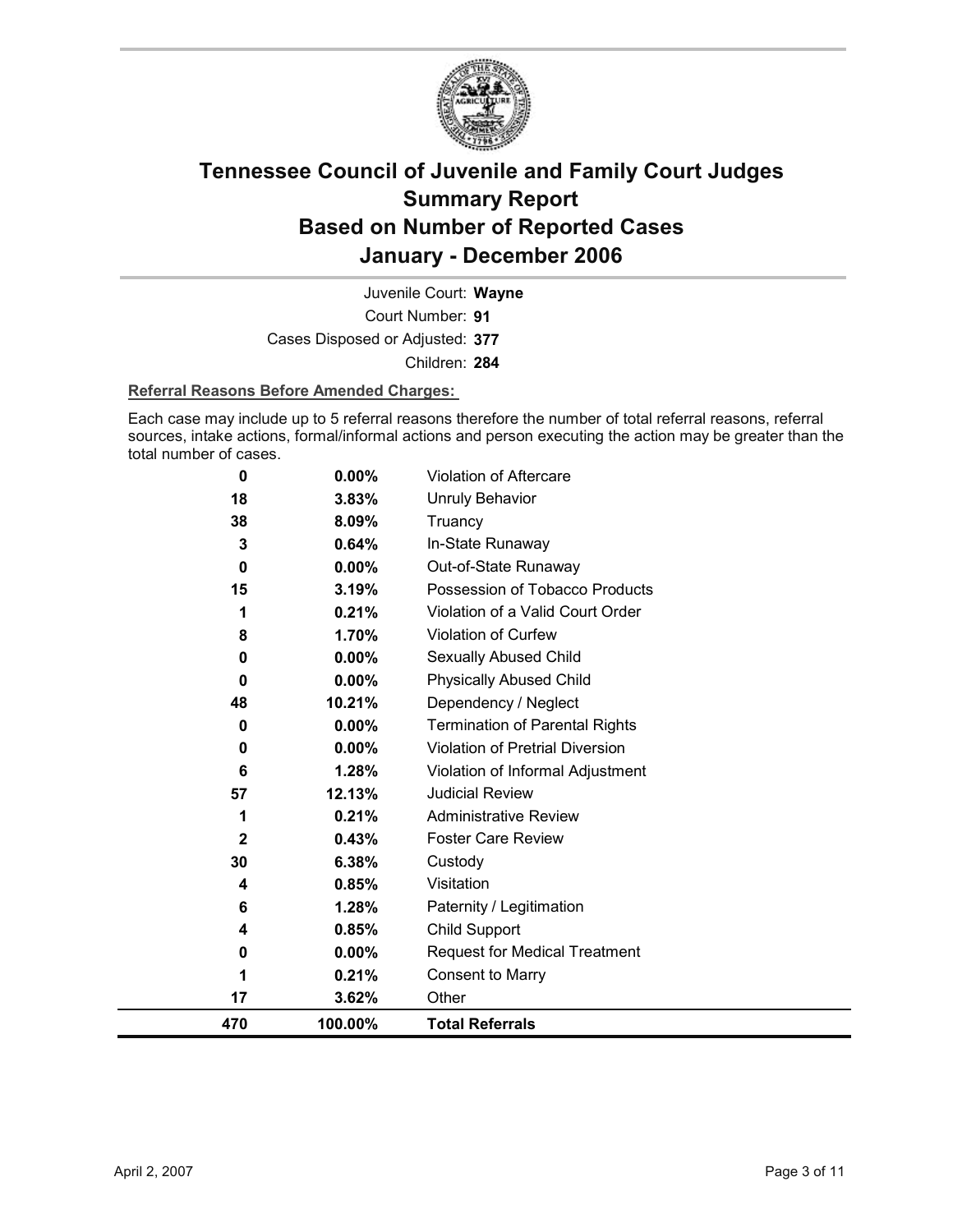

Court Number: **91** Juvenile Court: **Wayne** Cases Disposed or Adjusted: **377** Children: **284**

### **Referral Reasons Before Amended Charges:**

Each case may include up to 5 referral reasons therefore the number of total referral reasons, referral sources, intake actions, formal/informal actions and person executing the action may be greater than the total number of cases.

| 470     | 100.00%        | <b>Total Referrals</b>                                 |
|---------|----------------|--------------------------------------------------------|
| 17      | 3.62%          | Other                                                  |
| 1       | 0.21%          | <b>Consent to Marry</b>                                |
| 0       | $0.00\%$       | <b>Request for Medical Treatment</b>                   |
| 4       | 0.85%          | Child Support                                          |
| 6       | 1.28%          | Paternity / Legitimation                               |
| 4       | 0.85%          | Visitation                                             |
| 30      | 6.38%          | Custody                                                |
| 2       | 0.43%          | <b>Foster Care Review</b>                              |
| 1       | 0.21%          | <b>Administrative Review</b>                           |
| 57      | 12.13%         | <b>Judicial Review</b>                                 |
| 6       | 1.28%          | Violation of Informal Adjustment                       |
| 0       | 0.00%          | <b>Violation of Pretrial Diversion</b>                 |
| 0       | 0.00%          | <b>Termination of Parental Rights</b>                  |
| 48      | 10.21%         | Dependency / Neglect                                   |
| 0       | $0.00\%$       | <b>Physically Abused Child</b>                         |
| 0       | 0.00%          | Sexually Abused Child                                  |
| 8       | 1.70%          | Violation of Curfew                                    |
| 1       | 0.21%          | Violation of a Valid Court Order                       |
| 0<br>15 | 3.19%          | Out-of-State Runaway<br>Possession of Tobacco Products |
| 3       | 0.64%<br>0.00% | In-State Runaway                                       |
| 38      | 8.09%          | Truancy                                                |
| 18      | 3.83%          | <b>Unruly Behavior</b>                                 |
| 0       | 0.00%          | Violation of Aftercare                                 |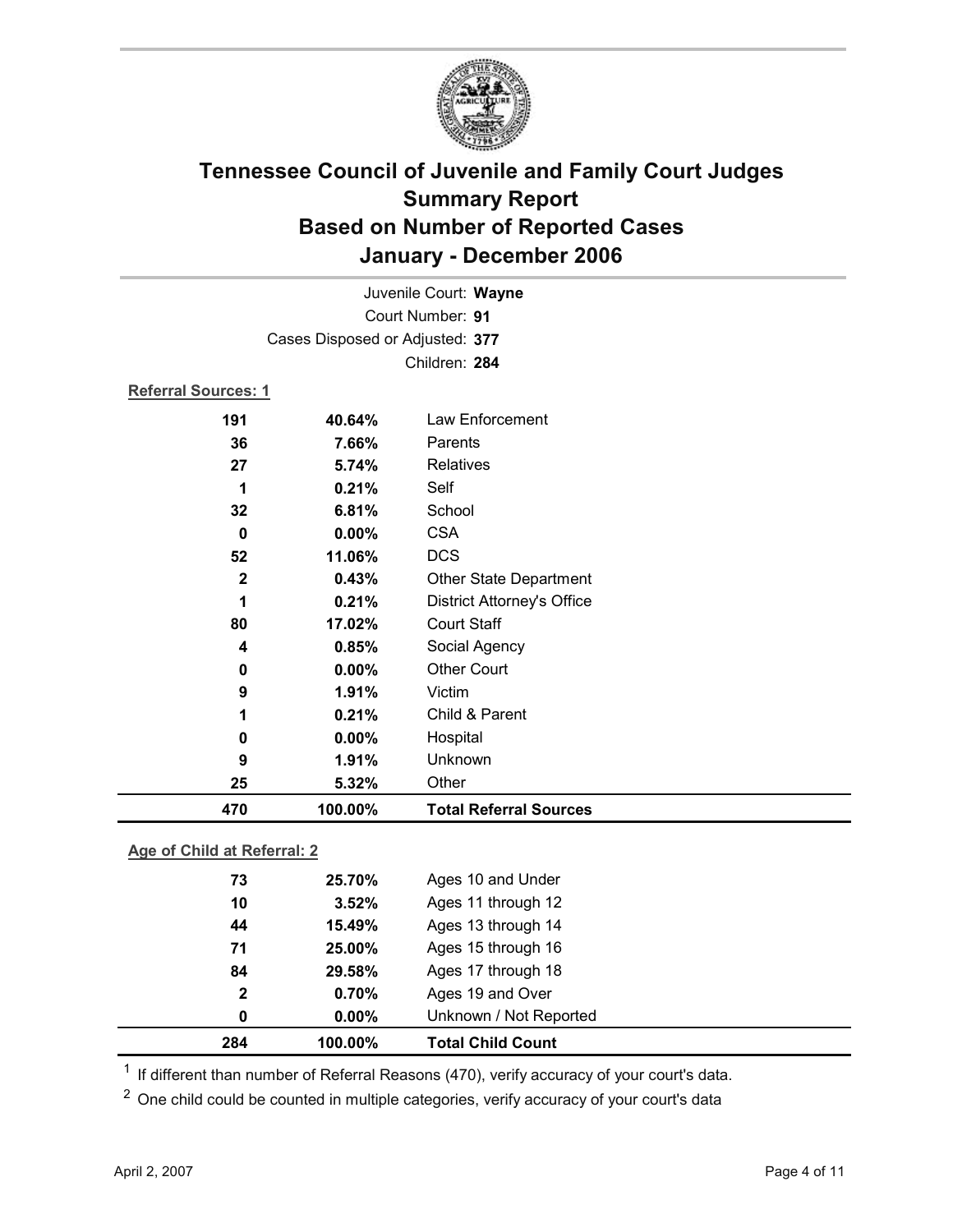

|                            | Juvenile Court: Wayne           |                                   |  |
|----------------------------|---------------------------------|-----------------------------------|--|
|                            |                                 | Court Number: 91                  |  |
|                            | Cases Disposed or Adjusted: 377 |                                   |  |
|                            |                                 | Children: 284                     |  |
| <b>Referral Sources: 1</b> |                                 |                                   |  |
| 191                        | 40.64%                          | Law Enforcement                   |  |
| 36                         | 7.66%                           | Parents                           |  |
| 27                         | 5.74%                           | Relatives                         |  |
| 1                          | 0.21%                           | Self                              |  |
| 32                         | 6.81%                           | School                            |  |
| 0                          | 0.00%                           | <b>CSA</b>                        |  |
| 52                         | 11.06%                          | <b>DCS</b>                        |  |
| $\mathbf 2$                | 0.43%                           | <b>Other State Department</b>     |  |
| 1                          | 0.21%                           | <b>District Attorney's Office</b> |  |
| 80                         | 17.02%                          | <b>Court Staff</b>                |  |
| 4                          | 0.85%                           | Social Agency                     |  |
| 0                          | 0.00%                           | <b>Other Court</b>                |  |
| 9                          | 1.91%                           | Victim                            |  |
| 1                          | 0.21%                           | Child & Parent                    |  |
| 0                          | 0.00%                           | Hospital                          |  |
| 9                          | 1.91%                           | Unknown                           |  |
| 25                         | 5.32%                           | Other                             |  |
| 470                        | 100.00%                         | <b>Total Referral Sources</b>     |  |

### **Age of Child at Referral: 2**

| 284 | 100.00%               | <b>Total Child Count</b> |
|-----|-----------------------|--------------------------|
|     | $0.00\%$<br>0         | Unknown / Not Reported   |
|     | 0.70%<br>$\mathbf{2}$ | Ages 19 and Over         |
| 84  | 29.58%                | Ages 17 through 18       |
| 71  | 25.00%                | Ages 15 through 16       |
| 44  | 15.49%                | Ages 13 through 14       |
|     | 3.52%<br>10           | Ages 11 through 12       |
|     | 73<br>25.70%          | Ages 10 and Under        |
|     |                       |                          |

 $1$  If different than number of Referral Reasons (470), verify accuracy of your court's data.

<sup>2</sup> One child could be counted in multiple categories, verify accuracy of your court's data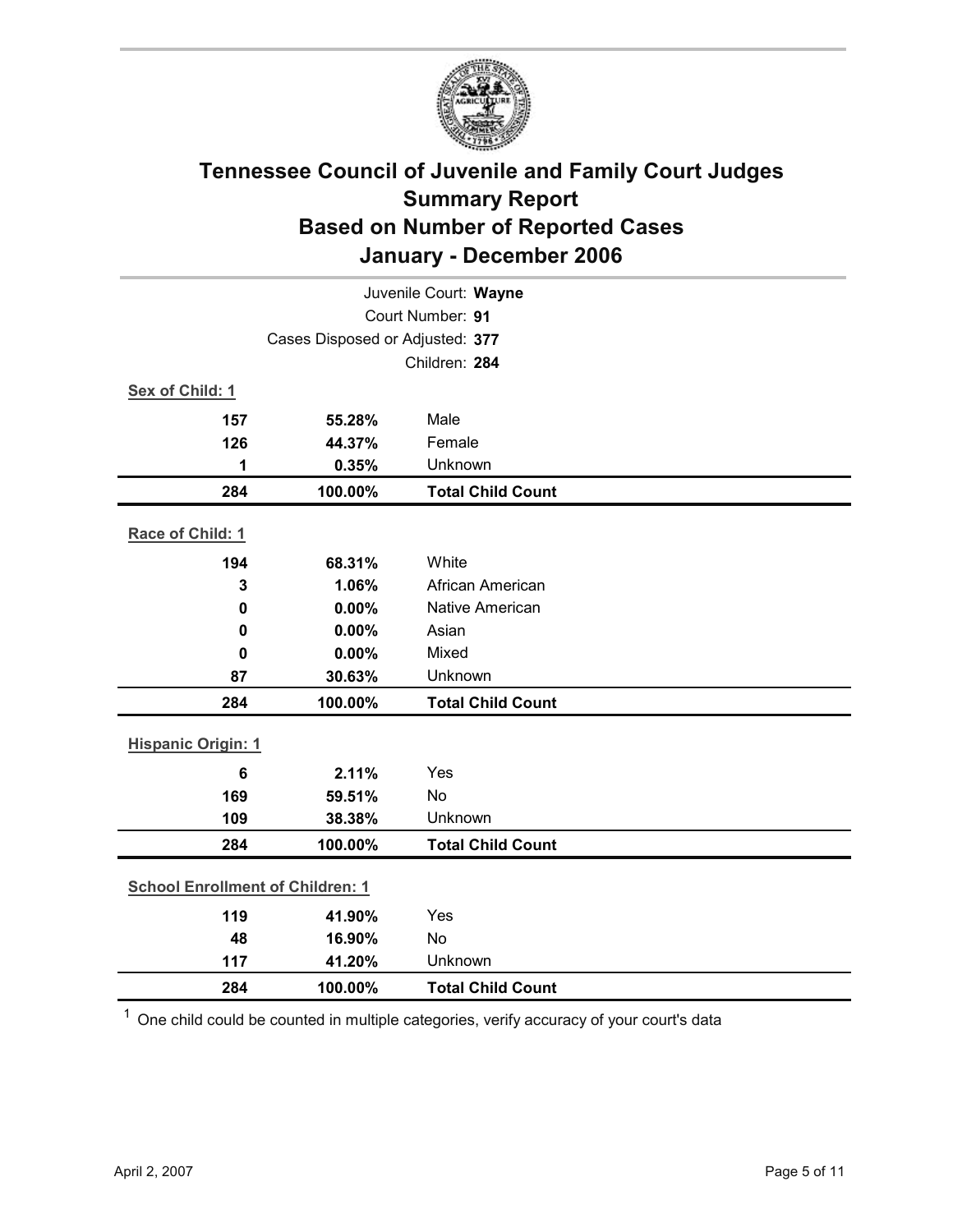

| Juvenile Court: Wayne                   |                                 |                          |  |  |
|-----------------------------------------|---------------------------------|--------------------------|--|--|
|                                         | Court Number: 91                |                          |  |  |
|                                         | Cases Disposed or Adjusted: 377 |                          |  |  |
|                                         |                                 | Children: 284            |  |  |
| Sex of Child: 1                         |                                 |                          |  |  |
| 157                                     | 55.28%                          | Male                     |  |  |
| 126                                     | 44.37%                          | Female                   |  |  |
| 1                                       | 0.35%                           | Unknown                  |  |  |
| 284                                     | 100.00%                         | <b>Total Child Count</b> |  |  |
| Race of Child: 1                        |                                 |                          |  |  |
| 194                                     | 68.31%                          | White                    |  |  |
| 3                                       | 1.06%                           | African American         |  |  |
| $\mathbf 0$                             | 0.00%                           | Native American          |  |  |
| 0                                       | 0.00%                           | Asian                    |  |  |
| 0                                       | 0.00%                           | Mixed                    |  |  |
| 87                                      | 30.63%                          | Unknown                  |  |  |
| 284                                     | 100.00%                         | <b>Total Child Count</b> |  |  |
| <b>Hispanic Origin: 1</b>               |                                 |                          |  |  |
| $6\phantom{1}6$                         | 2.11%                           | Yes                      |  |  |
| 169                                     | 59.51%                          | <b>No</b>                |  |  |
| 109                                     | 38.38%                          | Unknown                  |  |  |
| 284                                     | 100.00%                         | <b>Total Child Count</b> |  |  |
| <b>School Enrollment of Children: 1</b> |                                 |                          |  |  |
| 119                                     | 41.90%                          | Yes                      |  |  |
| 48                                      | 16.90%                          | No                       |  |  |
| 117                                     | 41.20%                          | Unknown                  |  |  |
| 284                                     | 100.00%                         | <b>Total Child Count</b> |  |  |

 $1$  One child could be counted in multiple categories, verify accuracy of your court's data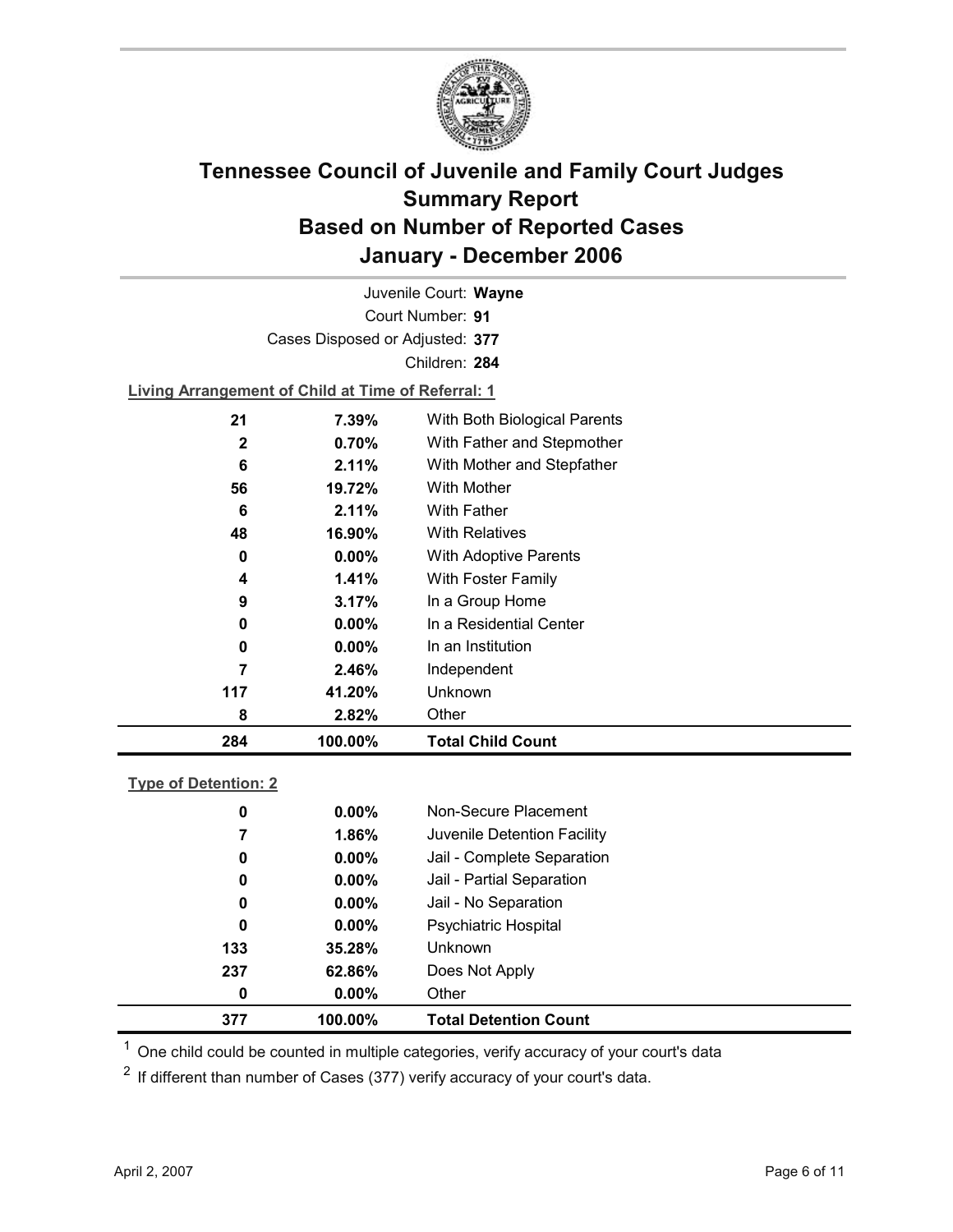

Court Number: **91** Juvenile Court: **Wayne** Cases Disposed or Adjusted: **377** Children: **284 Living Arrangement of Child at Time of Referral: 1 21 7.39%** With Both Biological Parents **2 0.70%** With Father and Stepmother **6 2.11%** With Mother and Stepfather **56 19.72%** With Mother

| 284 | 100.00%   | <b>Total Child Count</b> |
|-----|-----------|--------------------------|
| 8   | 2.82%     | Other                    |
| 117 | 41.20%    | <b>Unknown</b>           |
| 7   | 2.46%     | Independent              |
| 0   | $0.00\%$  | In an Institution        |
| 0   | $0.00\%$  | In a Residential Center  |
| 9   | 3.17%     | In a Group Home          |
| 4   | 1.41%     | With Foster Family       |
| 0   | $0.00\%$  | With Adoptive Parents    |
| 48  | 16.90%    | <b>With Relatives</b>    |
| 6   | 2.11%     | With Father              |
| IJυ | 19. I 470 | <u>VYIUI IVIUUIGI</u>    |

### **Type of Detention: 2**

| 377 | 100.00%  | <b>Total Detention Count</b> |
|-----|----------|------------------------------|
| 0   | $0.00\%$ | Other                        |
| 237 | 62.86%   | Does Not Apply               |
| 133 | 35.28%   | <b>Unknown</b>               |
| 0   | $0.00\%$ | <b>Psychiatric Hospital</b>  |
| 0   | $0.00\%$ | Jail - No Separation         |
| 0   | $0.00\%$ | Jail - Partial Separation    |
| 0   | $0.00\%$ | Jail - Complete Separation   |
| 7   | 1.86%    | Juvenile Detention Facility  |
| 0   | $0.00\%$ | Non-Secure Placement         |
|     |          |                              |

 $<sup>1</sup>$  One child could be counted in multiple categories, verify accuracy of your court's data</sup>

 $2$  If different than number of Cases (377) verify accuracy of your court's data.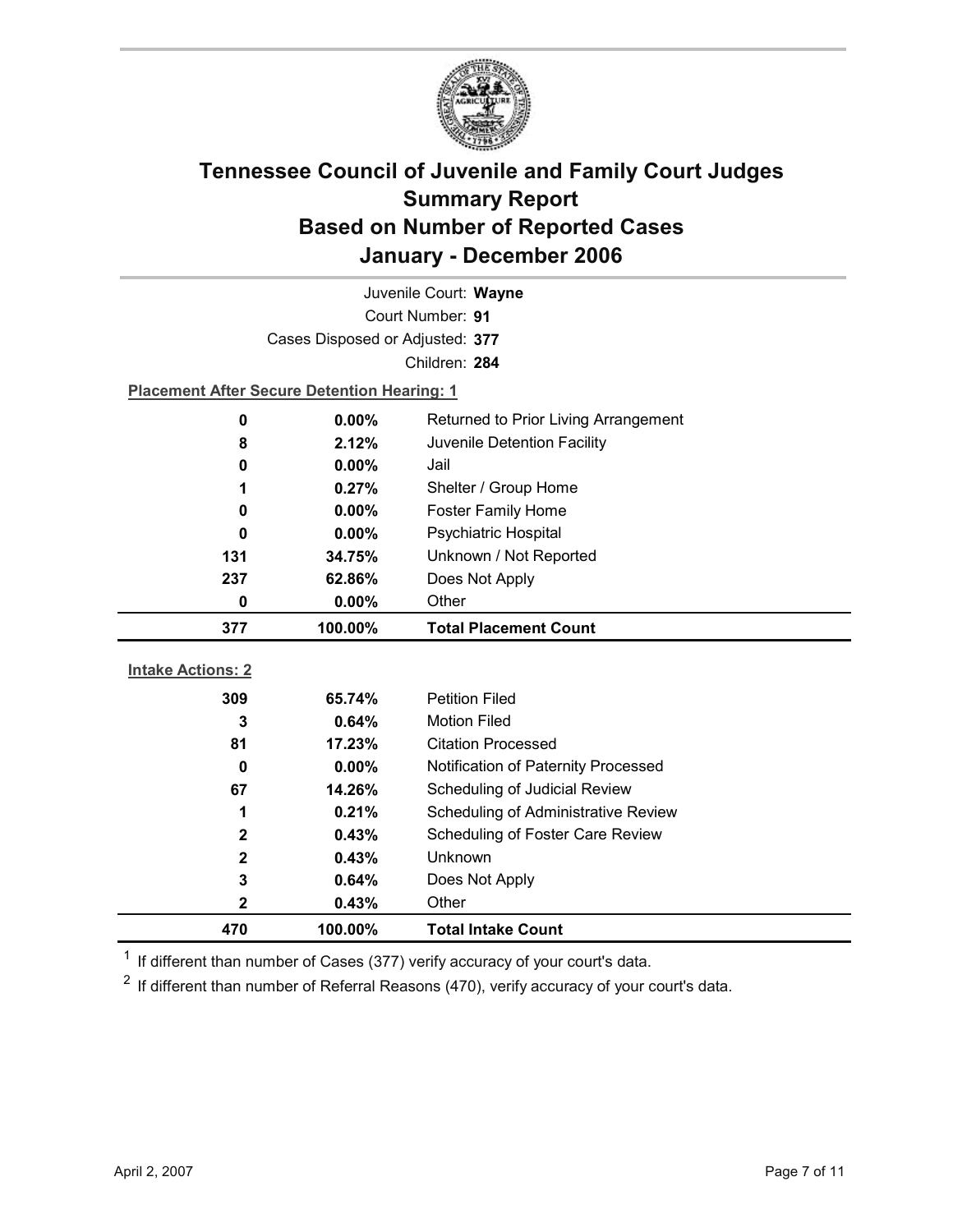

| Juvenile Court: Wayne    |                                                    |                                      |  |  |
|--------------------------|----------------------------------------------------|--------------------------------------|--|--|
|                          | Court Number: 91                                   |                                      |  |  |
|                          | Cases Disposed or Adjusted: 377                    |                                      |  |  |
|                          |                                                    | Children: 284                        |  |  |
|                          | <b>Placement After Secure Detention Hearing: 1</b> |                                      |  |  |
| $\mathbf 0$              | 0.00%                                              | Returned to Prior Living Arrangement |  |  |
| 8                        | 2.12%                                              | Juvenile Detention Facility          |  |  |
| 0                        | 0.00%                                              | Jail                                 |  |  |
| 1                        | 0.27%                                              | Shelter / Group Home                 |  |  |
| 0                        | 0.00%                                              | <b>Foster Family Home</b>            |  |  |
| 0                        | $0.00\%$                                           | <b>Psychiatric Hospital</b>          |  |  |
| 131                      | 34.75%                                             | Unknown / Not Reported               |  |  |
| 237                      | 62.86%                                             | Does Not Apply                       |  |  |
| 0                        | 0.00%                                              | Other                                |  |  |
|                          |                                                    |                                      |  |  |
| 377                      | 100.00%                                            | <b>Total Placement Count</b>         |  |  |
|                          |                                                    |                                      |  |  |
| <b>Intake Actions: 2</b> |                                                    |                                      |  |  |
| 309                      | 65.74%                                             | <b>Petition Filed</b>                |  |  |
| 3                        | 0.64%                                              | <b>Motion Filed</b>                  |  |  |
| 81                       | 17.23%                                             | <b>Citation Processed</b>            |  |  |
| $\mathbf 0$              | $0.00\%$                                           | Notification of Paternity Processed  |  |  |
| 67                       | 14.26%                                             | Scheduling of Judicial Review        |  |  |
| 1                        | 0.21%                                              | Scheduling of Administrative Review  |  |  |
| $\mathbf{2}$             | 0.43%                                              | Scheduling of Foster Care Review     |  |  |
| $\mathbf 2$              | 0.43%                                              | <b>Unknown</b>                       |  |  |
| 3                        | 0.64%                                              | Does Not Apply                       |  |  |
| $\mathbf 2$<br>470       | 0.43%<br>100.00%                                   | Other<br><b>Total Intake Count</b>   |  |  |

 $1$  If different than number of Cases (377) verify accuracy of your court's data.

 $2$  If different than number of Referral Reasons (470), verify accuracy of your court's data.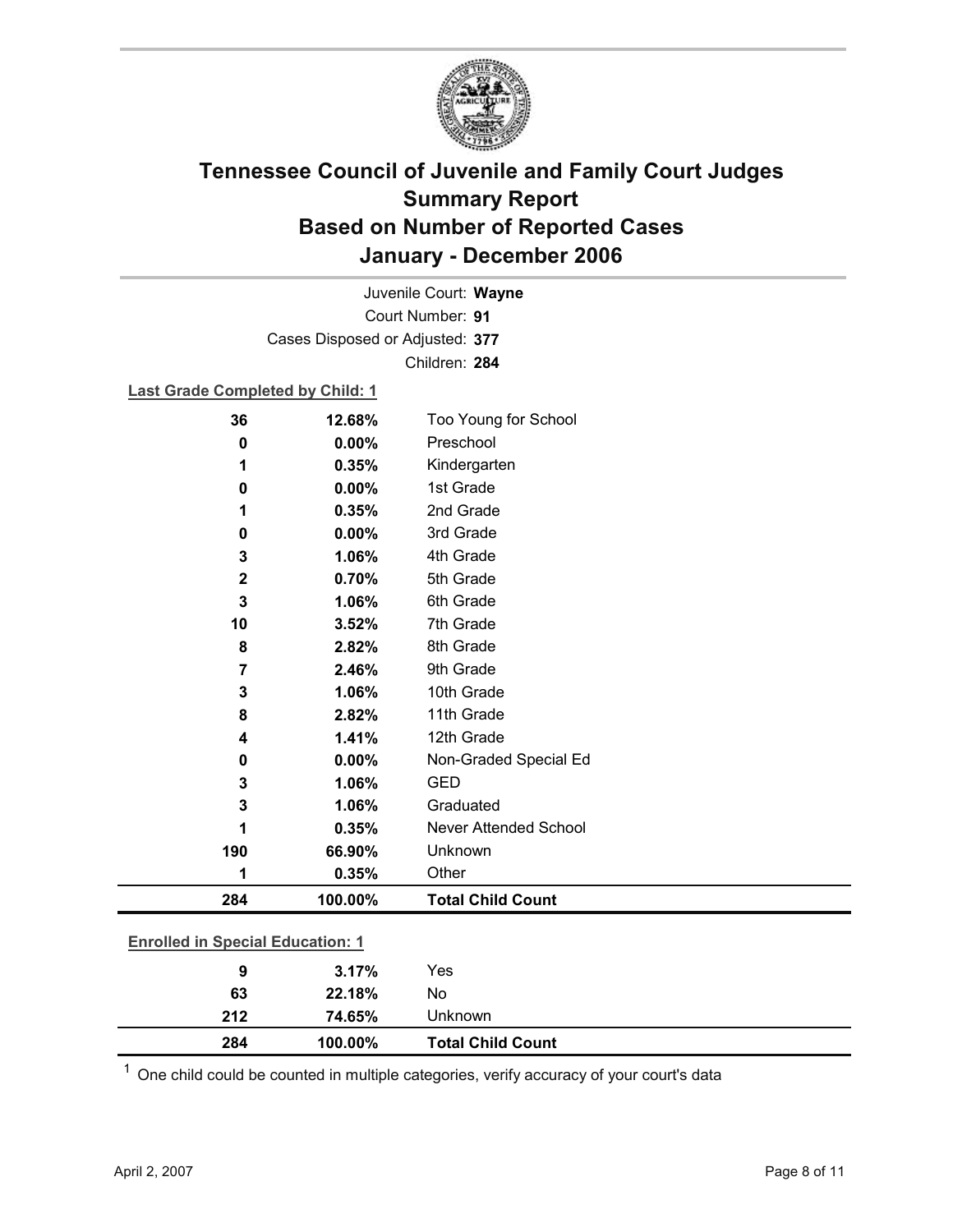

Court Number: **91** Juvenile Court: **Wayne** Cases Disposed or Adjusted: **377** Children: **284**

### **Last Grade Completed by Child: 1**

| 36          | 12.68%                                  | Too Young for School         |  |  |
|-------------|-----------------------------------------|------------------------------|--|--|
| 0           | 0.00%                                   | Preschool                    |  |  |
| 1           | 0.35%                                   | Kindergarten                 |  |  |
| 0           | 0.00%                                   | 1st Grade                    |  |  |
| 1           | 0.35%                                   | 2nd Grade                    |  |  |
| 0           | 0.00%                                   | 3rd Grade                    |  |  |
| 3           | 1.06%                                   | 4th Grade                    |  |  |
| $\mathbf 2$ | 0.70%                                   | 5th Grade                    |  |  |
| 3           | 1.06%                                   | 6th Grade                    |  |  |
| 10          | 3.52%                                   | 7th Grade                    |  |  |
| 8           | 2.82%                                   | 8th Grade                    |  |  |
| 7           | 2.46%                                   | 9th Grade                    |  |  |
| 3           | 1.06%                                   | 10th Grade                   |  |  |
| 8           | 2.82%                                   | 11th Grade                   |  |  |
| 4           | 1.41%                                   | 12th Grade                   |  |  |
| 0           | 0.00%                                   | Non-Graded Special Ed        |  |  |
| 3           | 1.06%                                   | <b>GED</b>                   |  |  |
| 3           | 1.06%                                   | Graduated                    |  |  |
| 1           | 0.35%                                   | <b>Never Attended School</b> |  |  |
| 190         | 66.90%                                  | Unknown                      |  |  |
| 1           | 0.35%                                   | Other                        |  |  |
| 284         | 100.00%                                 | <b>Total Child Count</b>     |  |  |
|             | <b>Enrolled in Special Education: 1</b> |                              |  |  |
| 9           | 3.17%                                   | Yes                          |  |  |
| 63          | 22.18%                                  | No                           |  |  |
| 212         | 74.65%                                  | Unknown                      |  |  |

 $1$  One child could be counted in multiple categories, verify accuracy of your court's data

**284 100.00% Total Child Count**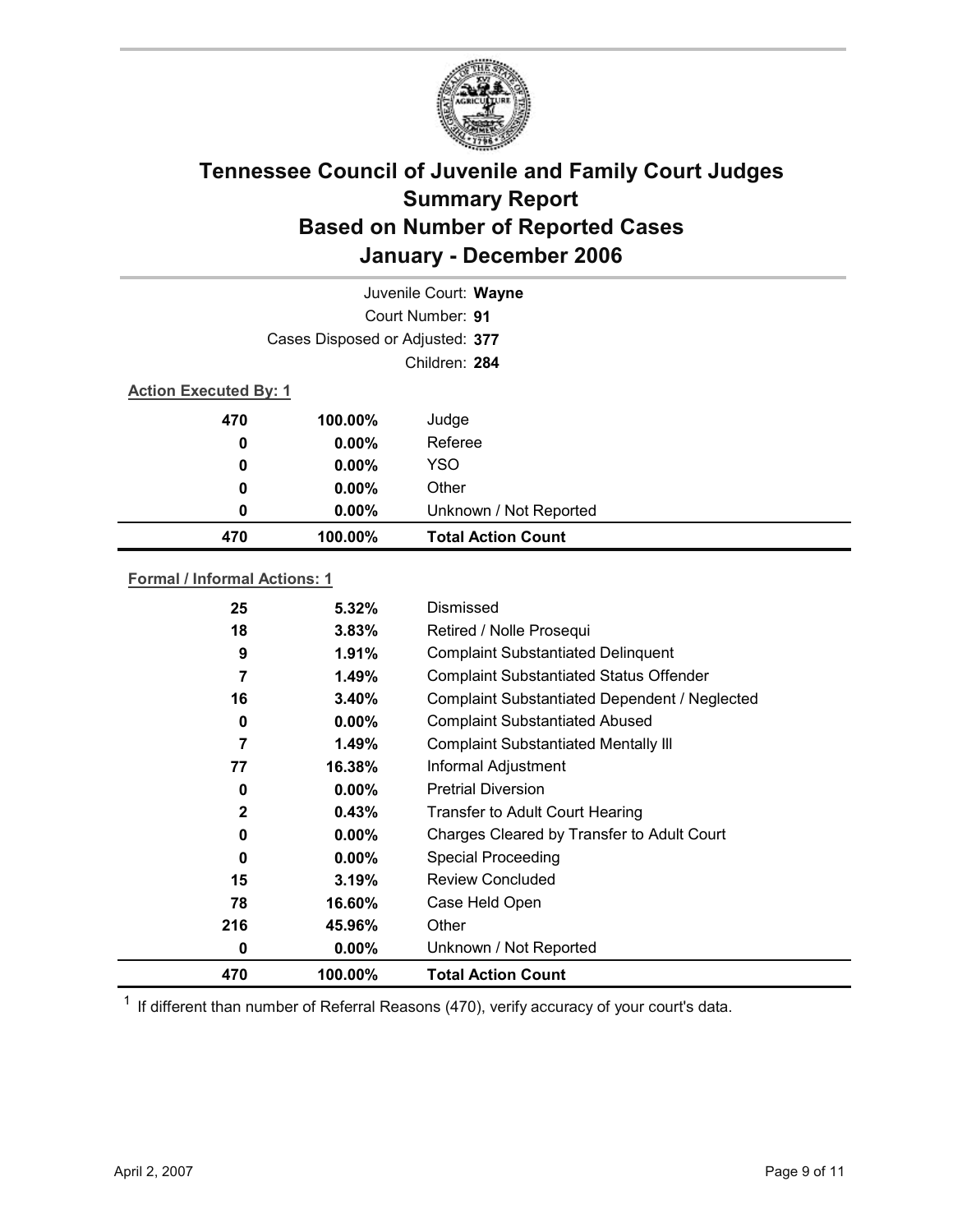

|     | Juvenile Court: Wayne           |                           |  |  |
|-----|---------------------------------|---------------------------|--|--|
|     |                                 | Court Number: 91          |  |  |
|     | Cases Disposed or Adjusted: 377 |                           |  |  |
|     | Children: 284                   |                           |  |  |
|     | <b>Action Executed By: 1</b>    |                           |  |  |
| 470 | 100.00%                         | Judge                     |  |  |
| 0   | $0.00\%$                        | Referee                   |  |  |
| 0   | $0.00\%$                        | <b>YSO</b>                |  |  |
| 0   | $0.00\%$                        | Other                     |  |  |
| 0   | $0.00\%$                        | Unknown / Not Reported    |  |  |
| 470 | 100.00%                         | <b>Total Action Count</b> |  |  |

### **Formal / Informal Actions: 1**

| 470          | 100.00%  | <b>Total Action Count</b>                      |
|--------------|----------|------------------------------------------------|
| 0            | $0.00\%$ | Unknown / Not Reported                         |
| 216          | 45.96%   | Other                                          |
| 78           | 16.60%   | Case Held Open                                 |
| 15           | 3.19%    | Review Concluded                               |
| 0            | $0.00\%$ | <b>Special Proceeding</b>                      |
| 0            | $0.00\%$ | Charges Cleared by Transfer to Adult Court     |
| $\mathbf{2}$ | 0.43%    | Transfer to Adult Court Hearing                |
| 0            | $0.00\%$ | <b>Pretrial Diversion</b>                      |
| 77           | 16.38%   | Informal Adjustment                            |
| 7            | 1.49%    | <b>Complaint Substantiated Mentally III</b>    |
| 0            | $0.00\%$ | <b>Complaint Substantiated Abused</b>          |
| 16           | 3.40%    | Complaint Substantiated Dependent / Neglected  |
| 7            | 1.49%    | <b>Complaint Substantiated Status Offender</b> |
| 9            | 1.91%    | <b>Complaint Substantiated Delinquent</b>      |
| 18           | $3.83\%$ | Retired / Nolle Prosequi                       |
| 25           | $5.32\%$ | Dismissed                                      |
|              |          |                                                |

 $1$  If different than number of Referral Reasons (470), verify accuracy of your court's data.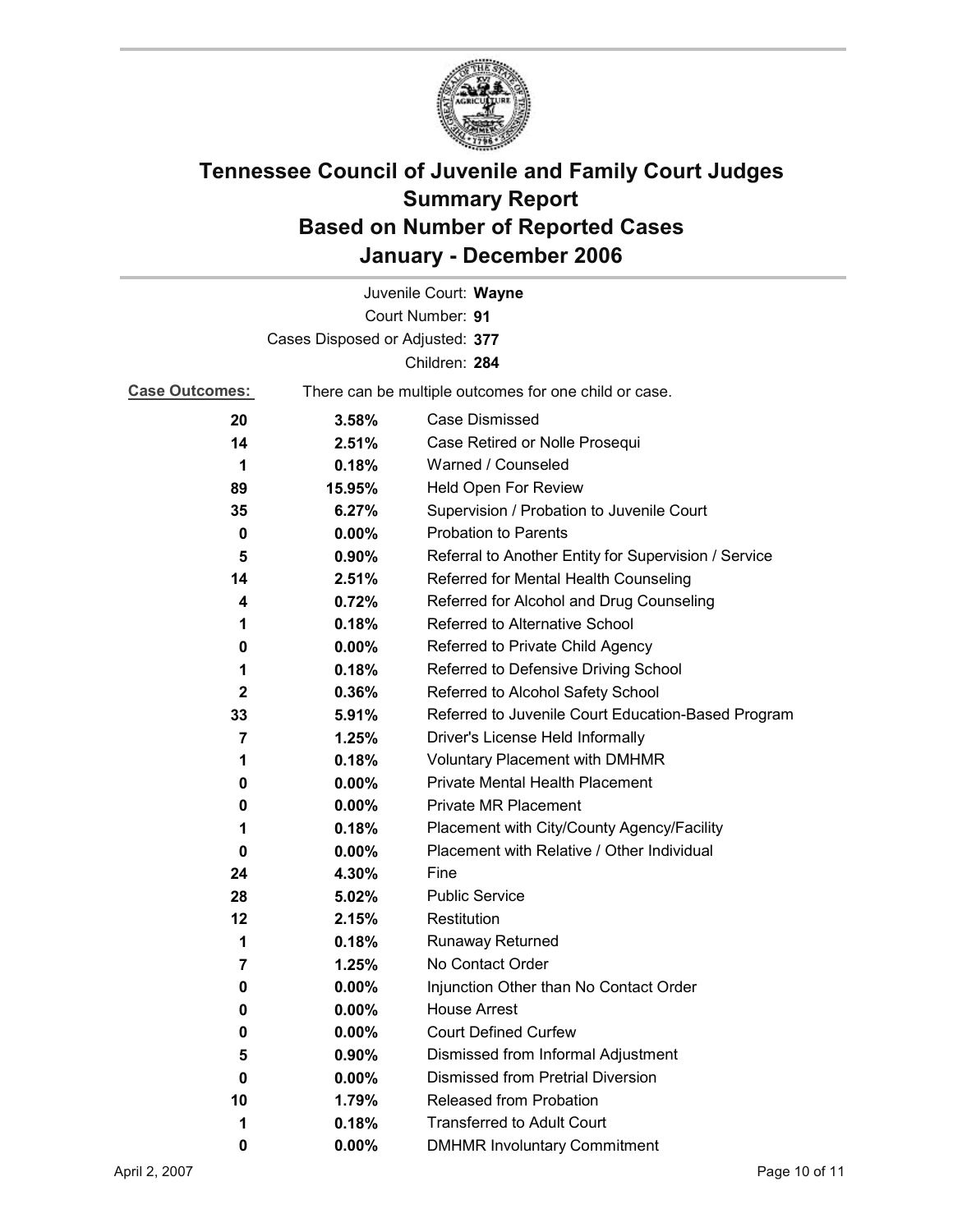

| Juvenile Court: Wayne           |                                                       |                                                      |  |  |
|---------------------------------|-------------------------------------------------------|------------------------------------------------------|--|--|
| Court Number: 91                |                                                       |                                                      |  |  |
| Cases Disposed or Adjusted: 377 |                                                       |                                                      |  |  |
| Children: 284                   |                                                       |                                                      |  |  |
| <b>Case Outcomes:</b>           | There can be multiple outcomes for one child or case. |                                                      |  |  |
| 20                              | 3.58%                                                 | Case Dismissed                                       |  |  |
| 14                              | 2.51%                                                 | Case Retired or Nolle Prosequi                       |  |  |
| 1                               | 0.18%                                                 | Warned / Counseled                                   |  |  |
| 89                              | 15.95%                                                | Held Open For Review                                 |  |  |
| 35                              | 6.27%                                                 | Supervision / Probation to Juvenile Court            |  |  |
| 0                               | $0.00\%$                                              | <b>Probation to Parents</b>                          |  |  |
| 5                               | $0.90\%$                                              | Referral to Another Entity for Supervision / Service |  |  |
| 14                              | 2.51%                                                 | Referred for Mental Health Counseling                |  |  |
| 4                               | 0.72%                                                 | Referred for Alcohol and Drug Counseling             |  |  |
| 1                               | 0.18%                                                 | <b>Referred to Alternative School</b>                |  |  |
| 0                               | $0.00\%$                                              | Referred to Private Child Agency                     |  |  |
| 1                               | 0.18%                                                 | Referred to Defensive Driving School                 |  |  |
| 2                               | $0.36\%$                                              | Referred to Alcohol Safety School                    |  |  |
| 33                              | 5.91%                                                 | Referred to Juvenile Court Education-Based Program   |  |  |
| $\overline{7}$                  | 1.25%                                                 | Driver's License Held Informally                     |  |  |
| 1                               | 0.18%                                                 | <b>Voluntary Placement with DMHMR</b>                |  |  |
| 0                               | $0.00\%$                                              | <b>Private Mental Health Placement</b>               |  |  |
| 0                               | $0.00\%$                                              | <b>Private MR Placement</b>                          |  |  |
| 1                               | 0.18%                                                 | Placement with City/County Agency/Facility           |  |  |
| 0                               | 0.00%                                                 | Placement with Relative / Other Individual           |  |  |
| 24                              | 4.30%                                                 | Fine                                                 |  |  |
| 28                              | 5.02%                                                 | <b>Public Service</b>                                |  |  |
| 12                              | 2.15%                                                 | Restitution                                          |  |  |
| 1                               | 0.18%                                                 | <b>Runaway Returned</b>                              |  |  |
| 7                               | 1.25%                                                 | No Contact Order                                     |  |  |
| 0                               | $0.00\%$                                              | Injunction Other than No Contact Order               |  |  |
| 0                               | 0.00%                                                 | <b>House Arrest</b>                                  |  |  |
| 0                               | $0.00\%$                                              | <b>Court Defined Curfew</b>                          |  |  |
| 5                               | 0.90%                                                 | Dismissed from Informal Adjustment                   |  |  |
| 0                               | $0.00\%$                                              | <b>Dismissed from Pretrial Diversion</b>             |  |  |
| 10                              | 1.79%                                                 | <b>Released from Probation</b>                       |  |  |
| 1                               | 0.18%                                                 | <b>Transferred to Adult Court</b>                    |  |  |
| 0                               | $0.00\%$                                              | <b>DMHMR Involuntary Commitment</b>                  |  |  |